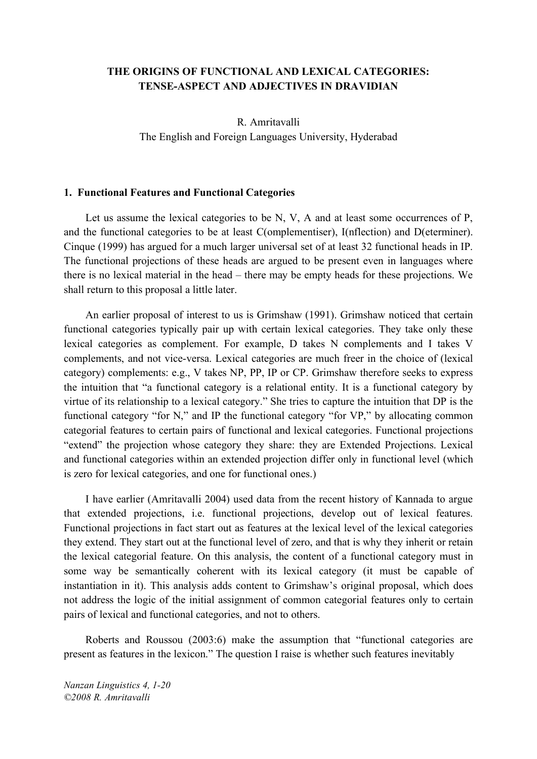### **THE ORIGINS OF FUNCTIONAL AND LEXICAL CATEGORIES: TENSE-ASPECT AND ADJECTIVES IN DRAVIDIAN**

R. Amritavalli The English and Foreign Languages University, Hyderabad

#### **1. Functional Features and Functional Categories**

Let us assume the lexical categories to be N, V, A and at least some occurrences of P, and the functional categories to be at least C(omplementiser), I(nflection) and D(eterminer). Cinque (1999) has argued for a much larger universal set of at least 32 functional heads in IP. The functional projections of these heads are argued to be present even in languages where there is no lexical material in the head – there may be empty heads for these projections. We shall return to this proposal a little later.

An earlier proposal of interest to us is Grimshaw (1991). Grimshaw noticed that certain functional categories typically pair up with certain lexical categories. They take only these lexical categories as complement. For example, D takes N complements and I takes V complements, and not vice-versa. Lexical categories are much freer in the choice of (lexical category) complements: e.g., V takes NP, PP, IP or CP. Grimshaw therefore seeks to express the intuition that "a functional category is a relational entity. It is a functional category by virtue of its relationship to a lexical category." She tries to capture the intuition that DP is the functional category "for N," and IP the functional category "for VP," by allocating common categorial features to certain pairs of functional and lexical categories. Functional projections "extend" the projection whose category they share: they are Extended Projections. Lexical and functional categories within an extended projection differ only in functional level (which is zero for lexical categories, and one for functional ones.)

I have earlier (Amritavalli 2004) used data from the recent history of Kannada to argue that extended projections, i.e. functional projections, develop out of lexical features. Functional projections in fact start out as features at the lexical level of the lexical categories they extend. They start out at the functional level of zero, and that is why they inherit or retain the lexical categorial feature. On this analysis, the content of a functional category must in some way be semantically coherent with its lexical category (it must be capable of instantiation in it). This analysis adds content to Grimshaw's original proposal, which does not address the logic of the initial assignment of common categorial features only to certain pairs of lexical and functional categories, and not to others.

Roberts and Roussou (2003:6) make the assumption that "functional categories are present as features in the lexicon." The question I raise is whether such features inevitably

*Nanzan Linguistics 4, 1-20 ©2008 R. Amritavalli*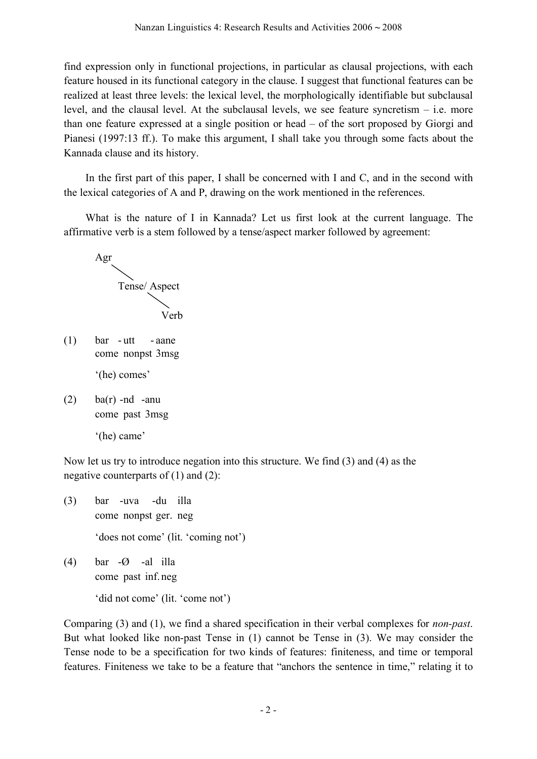find expression only in functional projections, in particular as clausal projections, with each feature housed in its functional category in the clause. I suggest that functional features can be realized at least three levels: the lexical level, the morphologically identifiable but subclausal level, and the clausal level. At the subclausal levels, we see feature syncretism – i.e. more than one feature expressed at a single position or head – of the sort proposed by Giorgi and Pianesi (1997:13 ff.). To make this argument, I shall take you through some facts about the Kannada clause and its history.

In the first part of this paper, I shall be concerned with I and C, and in the second with the lexical categories of A and P, drawing on the work mentioned in the references.

What is the nature of I in Kannada? Let us first look at the current language. The affirmative verb is a stem followed by a tense/aspect marker followed by agreement:



 $(1)$  bar - utt - aane come nonpst 3msg

'(he) comes'

- $(2)$  ba(r) -nd -anu come past 3msg
	- '(he) came'

Now let us try to introduce negation into this structure. We find (3) and (4) as the negative counterparts of  $(1)$  and  $(2)$ :

- (3) bar -uva -du illa come nonpst ger. neg 'does not come' (lit. 'coming not') (4) bar -Ø -al illa
	- come past inf. neg

'did not come' (lit. 'come not')

Comparing (3) and (1), we find a shared specification in their verbal complexes for *non-past*. But what looked like non-past Tense in (1) cannot be Tense in (3). We may consider the Tense node to be a specification for two kinds of features: finiteness, and time or temporal features. Finiteness we take to be a feature that "anchors the sentence in time," relating it to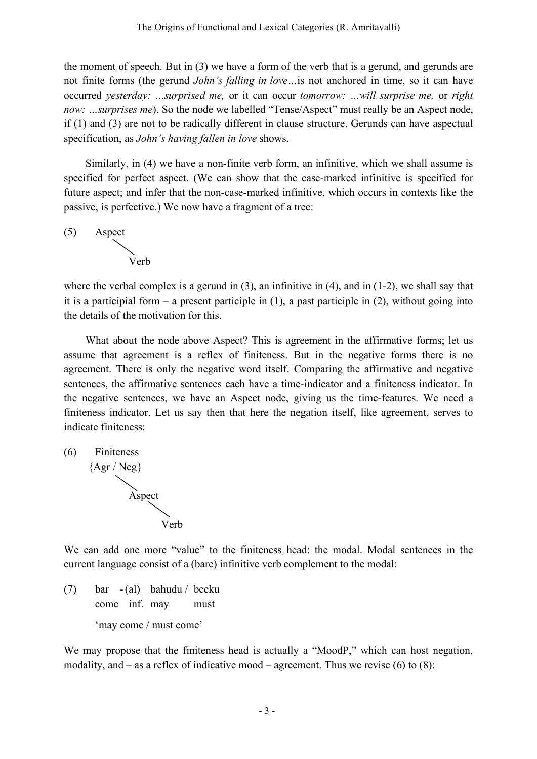the moment of speech. But in (3) we have a form of the verb that is a gerund, and gerunds are not finite forms (the gerund *John's falling in love…*is not anchored in time, so it can have occurred *yesterday: …surprised me,* or it can occur *tomorrow: …will surprise me,* or *right now: …surprises me*). So the node we labelled "Tense/Aspect" must really be an Aspect node, if (1) and (3) are not to be radically different in clause structure. Gerunds can have aspectual specification, as *John's having fallen in love* shows.

Similarly, in (4) we have a non-finite verb form, an infinitive, which we shall assume is specified for perfect aspect. (We can show that the case-marked infinitive is specified for future aspect; and infer that the non-case-marked infinitive, which occurs in contexts like the passive, is perfective.) We now have a fragment of a tree:

(5) Aspect



where the verbal complex is a gerund in  $(3)$ , an infinitive in  $(4)$ , and in  $(1-2)$ , we shall say that it is a participial form – a present participle in  $(1)$ , a past participle in  $(2)$ , without going into the details of the motivation for this.

What about the node above Aspect? This is agreement in the affirmative forms; let us assume that agreement is a reflex of finiteness. But in the negative forms there is no agreement. There is only the negative word itself. Comparing the affirmative and negative sentences, the affirmative sentences each have a time-indicator and a finiteness indicator. In the negative sentences, we have an Aspect node, giving us the time-features. We need a finiteness indicator. Let us say then that here the negation itself, like agreement, serves to indicate finiteness:

(6) Finiteness  ${Agr / Neg}$ Aspect

We can add one more "value" to the finiteness head: the modal. Modal sentences in the current language consist of a (bare) infinitive verb complement to the modal:

(7) bar - (al) bahudu / beeku come inf. may must 'may come / must come'

Verb

We may propose that the finiteness head is actually a "MoodP," which can host negation, modality, and – as a reflex of indicative mood – agreement. Thus we revise  $(6)$  to  $(8)$ :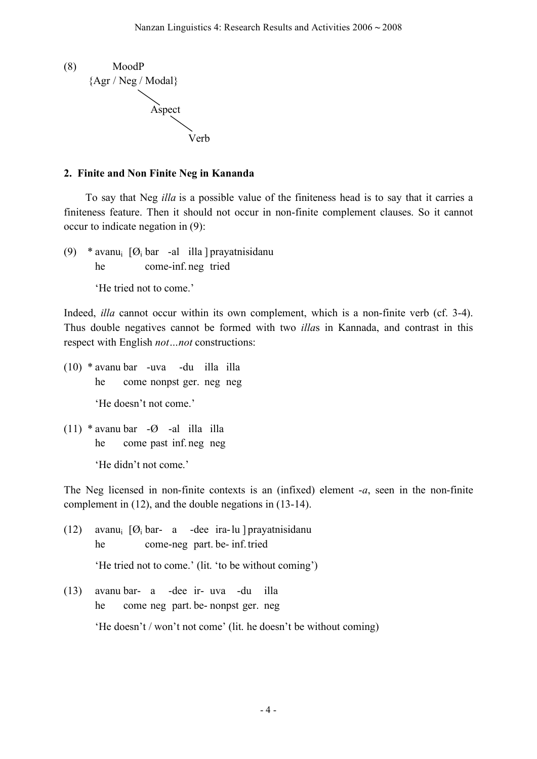

### **2. Finite and Non Finite Neg in Kananda**

To say that Neg *illa* is a possible value of the finiteness head is to say that it carries a finiteness feature. Then it should not occur in non-finite complement clauses. So it cannot occur to indicate negation in (9):

(9) \* avanu<sub>i</sub>  $[Ø_i$  bar -al illa ] prayatnisidanu he come-inf. neg tried

'He tried not to come.'

Indeed, *illa* cannot occur within its own complement, which is a non-finite verb (cf. 3-4). Thus double negatives cannot be formed with two *illa*s in Kannada, and contrast in this respect with English *not…not* constructions:

- (10) \* avanu bar -uva -du illa illa he come nonpst ger. neg neg 'He doesn't not come.'
- (11)  $*$  avanu bar - $\varnothing$  -al illa illa he come past inf. neg neg 'He didn't not come.'

The Neg licensed in non-finite contexts is an (infixed) element -*a*, seen in the non-finite complement in (12), and the double negations in (13-14).

- (12) avanu<sub>i</sub>  $[*O*<sub>i</sub> bar- a -dee ira-lu] prayatnisidanu$ he come-neg part. be- inf.tried 'He tried not to come.' (lit. 'to be without coming')
- (13) avanu bar- a -dee ir- uva -du illa he come neg part. be- nonpst ger. neg

'He doesn't / won't not come' (lit. he doesn't be without coming)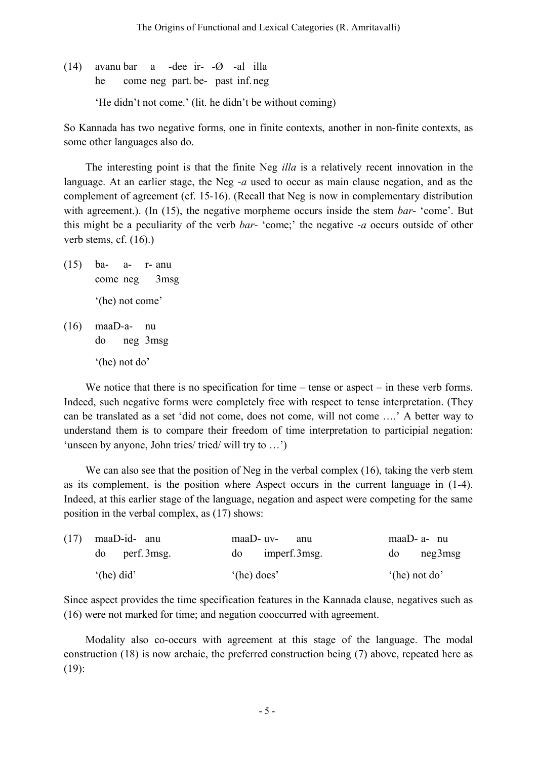(14) avanu bar a -dee ir- -Ø -al illa he come neg part. be- past inf. neg

'He didn't not come.' (lit. he didn't be without coming)

So Kannada has two negative forms, one in finite contexts, another in non-finite contexts, as some other languages also do.

The interesting point is that the finite Neg *illa* is a relatively recent innovation in the language. At an earlier stage, the Neg -*a* used to occur as main clause negation, and as the complement of agreement (cf. 15-16). (Recall that Neg is now in complementary distribution with agreement.). (In (15), the negative morpheme occurs inside the stem *bar*- 'come'. But this might be a peculiarity of the verb *bar*- 'come;' the negative -*a* occurs outside of other verb stems, cf. (16).)

- (15) ba- a- r- anu come neg 3msg '(he) not come'
- (16) maaD-a- nu do neg 3msg

'(he) not do'

We notice that there is no specification for time – tense or aspect – in these verb forms. Indeed, such negative forms were completely free with respect to tense interpretation. (They can be translated as a set 'did not come, does not come, will not come ….' A better way to understand them is to compare their freedom of time interpretation to participial negation: 'unseen by anyone, John tries/ tried/ will try to …')

We can also see that the position of Neg in the verbal complex (16), taking the verb stem as its complement, is the position where Aspect occurs in the current language in (1-4). Indeed, at this earlier stage of the language, negation and aspect were competing for the same position in the verbal complex, as (17) shows:

| $(17)$ maaD-id- anu  |                      | $maaD-uv-$ anu        |                         | maaD- $a$ - nu |                |         |
|----------------------|----------------------|-----------------------|-------------------------|----------------|----------------|---------|
|                      | $\omega$ perf. 3msg. |                       | $\omega$ imperf. 3 msg. |                | do             | neg3msg |
| $^{\circ}$ (he) did' |                      | $^{\circ}$ (he) does' |                         |                | $(he)$ not do' |         |

Since aspect provides the time specification features in the Kannada clause, negatives such as (16) were not marked for time; and negation cooccurred with agreement.

Modality also co-occurs with agreement at this stage of the language. The modal construction (18) is now archaic, the preferred construction being (7) above, repeated here as (19):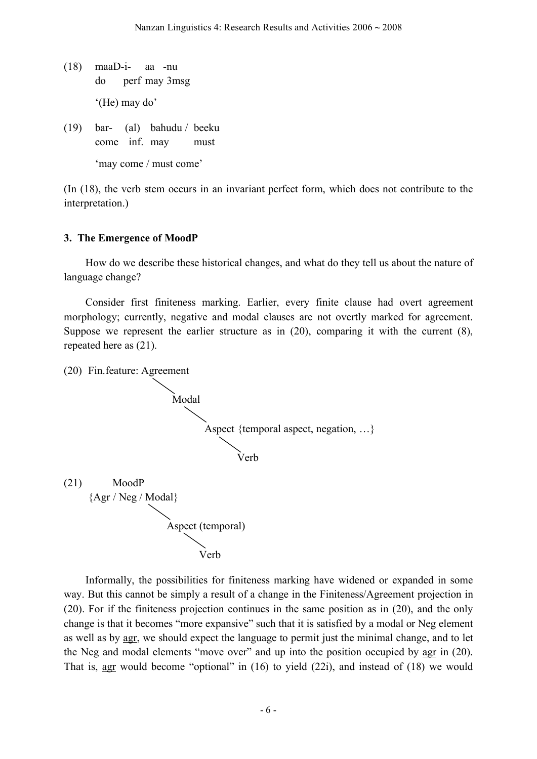- (18) maaD-i- aa -nu do perf may 3msg '(He) may do'
- (19) bar- (al) bahudu / beeku come inf. may must 'may come / must come'

(In (18), the verb stem occurs in an invariant perfect form, which does not contribute to the interpretation.)

#### **3. The Emergence of MoodP**

How do we describe these historical changes, and what do they tell us about the nature of language change?

Consider first finiteness marking. Earlier, every finite clause had overt agreement morphology; currently, negative and modal clauses are not overtly marked for agreement. Suppose we represent the earlier structure as in (20), comparing it with the current (8), repeated here as (21).

(20) Fin.feature: Agreement Modal Aspect {temporal aspect, negation, …} Verb (21) MoodP {Agr / Neg / Modal} Aspect (temporal) Verb

Informally, the possibilities for finiteness marking have widened or expanded in some way. But this cannot be simply a result of a change in the Finiteness/Agreement projection in (20). For if the finiteness projection continues in the same position as in (20), and the only change is that it becomes "more expansive" such that it is satisfied by a modal or Neg element as well as by agr, we should expect the language to permit just the minimal change, and to let the Neg and modal elements "move over" and up into the position occupied by agr in (20). That is, agr would become "optional" in (16) to yield (22i), and instead of (18) we would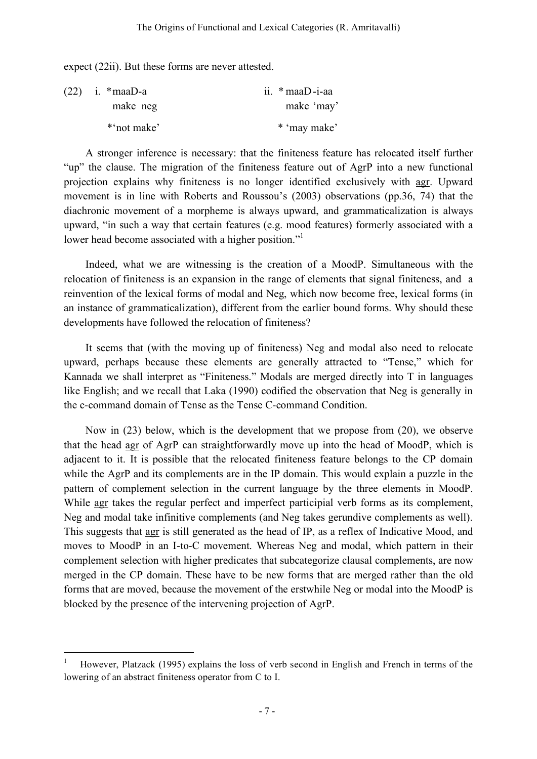expect (22ii). But these forms are never attested.

| $(22)$ i. * maaD-a | ii. $*$ maaD-i-aa |
|--------------------|-------------------|
| make neg           | make 'may'        |
| *'not make'        | * 'may make'      |

A stronger inference is necessary: that the finiteness feature has relocated itself further "up" the clause. The migration of the finiteness feature out of AgrP into a new functional projection explains why finiteness is no longer identified exclusively with agr. Upward movement is in line with Roberts and Roussou's (2003) observations (pp.36, 74) that the diachronic movement of a morpheme is always upward, and grammaticalization is always upward, "in such a way that certain features (e.g. mood features) formerly associated with a lower head become associated with a higher position."<sup>1</sup>

Indeed, what we are witnessing is the creation of a MoodP. Simultaneous with the relocation of finiteness is an expansion in the range of elements that signal finiteness, and a reinvention of the lexical forms of modal and Neg, which now become free, lexical forms (in an instance of grammaticalization), different from the earlier bound forms. Why should these developments have followed the relocation of finiteness?

It seems that (with the moving up of finiteness) Neg and modal also need to relocate upward, perhaps because these elements are generally attracted to "Tense," which for Kannada we shall interpret as "Finiteness." Modals are merged directly into T in languages like English; and we recall that Laka (1990) codified the observation that Neg is generally in the c-command domain of Tense as the Tense C-command Condition.

Now in (23) below, which is the development that we propose from (20), we observe that the head agr of AgrP can straightforwardly move up into the head of MoodP, which is adjacent to it. It is possible that the relocated finiteness feature belongs to the CP domain while the AgrP and its complements are in the IP domain. This would explain a puzzle in the pattern of complement selection in the current language by the three elements in MoodP. While agr takes the regular perfect and imperfect participial verb forms as its complement, Neg and modal take infinitive complements (and Neg takes gerundive complements as well). This suggests that agr is still generated as the head of IP, as a reflex of Indicative Mood, and moves to MoodP in an I-to-C movement. Whereas Neg and modal, which pattern in their complement selection with higher predicates that subcategorize clausal complements, are now merged in the CP domain. These have to be new forms that are merged rather than the old forms that are moved, because the movement of the erstwhile Neg or modal into the MoodP is blocked by the presence of the intervening projection of AgrP.

 <sup>1</sup> However, Platzack (1995) explains the loss of verb second in English and French in terms of the lowering of an abstract finiteness operator from C to I.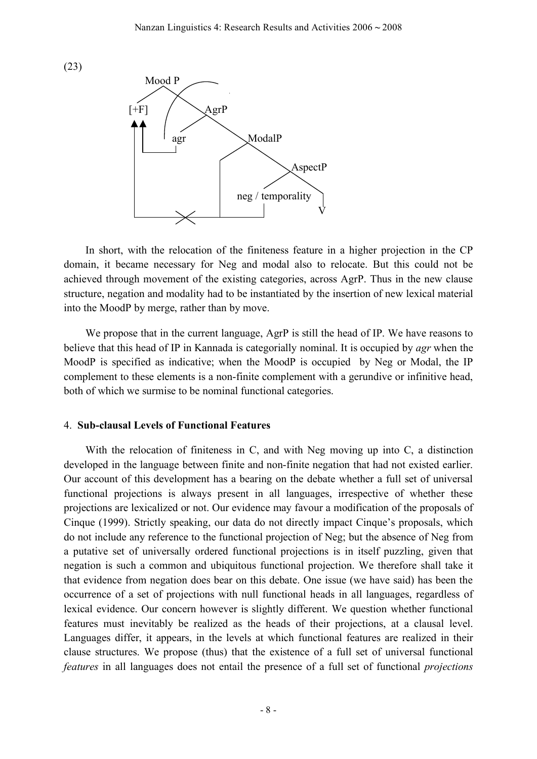



In short, with the relocation of the finiteness feature in a higher projection in the CP domain, it became necessary for Neg and modal also to relocate. But this could not be achieved through movement of the existing categories, across AgrP. Thus in the new clause structure, negation and modality had to be instantiated by the insertion of new lexical material into the MoodP by merge, rather than by move.

We propose that in the current language, AgrP is still the head of IP. We have reasons to believe that this head of IP in Kannada is categorially nominal. It is occupied by *agr* when the MoodP is specified as indicative; when the MoodP is occupied by Neg or Modal, the IP complement to these elements is a non-finite complement with a gerundive or infinitive head, both of which we surmise to be nominal functional categories.

#### 4. **Sub-clausal Levels of Functional Features**

With the relocation of finiteness in C, and with Neg moving up into C, a distinction developed in the language between finite and non-finite negation that had not existed earlier. Our account of this development has a bearing on the debate whether a full set of universal functional projections is always present in all languages, irrespective of whether these projections are lexicalized or not. Our evidence may favour a modification of the proposals of Cinque (1999). Strictly speaking, our data do not directly impact Cinque's proposals, which do not include any reference to the functional projection of Neg; but the absence of Neg from a putative set of universally ordered functional projections is in itself puzzling, given that negation is such a common and ubiquitous functional projection. We therefore shall take it that evidence from negation does bear on this debate. One issue (we have said) has been the occurrence of a set of projections with null functional heads in all languages, regardless of lexical evidence. Our concern however is slightly different. We question whether functional features must inevitably be realized as the heads of their projections, at a clausal level. Languages differ, it appears, in the levels at which functional features are realized in their clause structures. We propose (thus) that the existence of a full set of universal functional *features* in all languages does not entail the presence of a full set of functional *projections*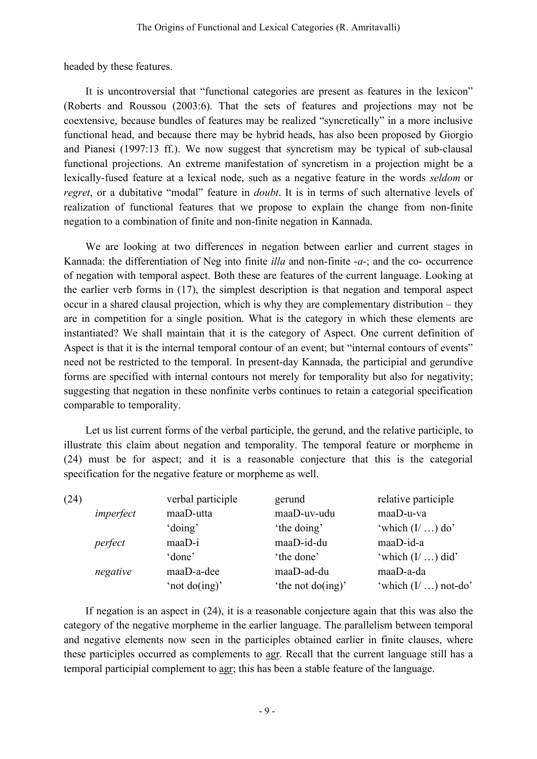headed by these features.

It is uncontroversial that "functional categories are present as features in the lexicon" (Roberts and Roussou (2003:6). That the sets of features and projections may not be coextensive, because bundles of features may be realized "syncretically" in a more inclusive functional head, and because there may be hybrid heads, has also been proposed by Giorgio and Pianesi (1997:13 ff.). We now suggest that syncretism may be typical of sub-clausal functional projections. An extreme manifestation of syncretism in a projection might be a lexically-fused feature at a lexical node, such as a negative feature in the words *seldom* or *regret*, or a dubitative "modal" feature in *doubt*. It is in terms of such alternative levels of realization of functional features that we propose to explain the change from non-finite negation to a combination of finite and non-finite negation in Kannada.

We are looking at two differences in negation between earlier and current stages in Kannada: the differentiation of Neg into finite *illa* and non-finite -*a*-; and the co- occurrence of negation with temporal aspect. Both these are features of the current language. Looking at the earlier verb forms in (17), the simplest description is that negation and temporal aspect occur in a shared clausal projection, which is why they are complementary distribution – they are in competition for a single position. What is the category in which these elements are instantiated? We shall maintain that it is the category of Aspect. One current definition of Aspect is that it is the internal temporal contour of an event; but "internal contours of events" need not be restricted to the temporal. In present-day Kannada, the participial and gerundive forms are specified with internal contours not merely for temporality but also for negativity; suggesting that negation in these nonfinite verbs continues to retain a categorial specification comparable to temporality.

Let us list current forms of the verbal participle, the gerund, and the relative participle, to illustrate this claim about negation and temporality. The temporal feature or morpheme in (24) must be for aspect; and it is a reasonable conjecture that this is the categorial specification for the negative feature or morpheme as well.

| (24) |           | verbal participle | gerund              | relative participle     |
|------|-----------|-------------------|---------------------|-------------------------|
|      | imperfect | maaD-utta         | maaD-uv-udu         | maaD-u-va               |
|      |           | 'doing'           | 'the doing'         | 'which $(I / )$ do'     |
|      | perfect   | maaD-i            | maaD-id-du          | maaD-id-a               |
|      |           | 'done'            | 'the done'          | 'which $(I /  )$ did'   |
|      | negative  | maaD-a-dee        | maaD-ad-du          | maaD-a-da               |
|      |           | 'not $do(ing)'$   | 'the not $do(ing)'$ | 'which $(I / )$ not-do' |

If negation is an aspect in (24), it is a reasonable conjecture again that this was also the category of the negative morpheme in the earlier language. The parallelism between temporal and negative elements now seen in the participles obtained earlier in finite clauses, where these participles occurred as complements to agr. Recall that the current language still has a temporal participial complement to agr; this has been a stable feature of the language.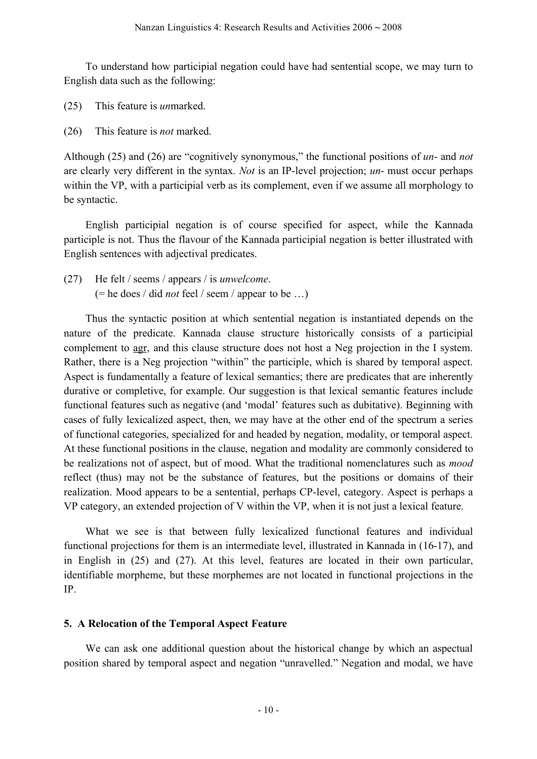To understand how participial negation could have had sentential scope, we may turn to English data such as the following:

- (25) This feature is *un*marked.
- (26) This feature is *not* marked.

Although (25) and (26) are "cognitively synonymous," the functional positions of *un*- and *not* are clearly very different in the syntax. *Not* is an IP-level projection; *un*- must occur perhaps within the VP, with a participial verb as its complement, even if we assume all morphology to be syntactic.

English participial negation is of course specified for aspect, while the Kannada participle is not. Thus the flavour of the Kannada participial negation is better illustrated with English sentences with adjectival predicates.

(27) He felt / seems / appears / is *unwelcome*. (= he does / did *not* feel / seem / appear to be …)

Thus the syntactic position at which sentential negation is instantiated depends on the nature of the predicate. Kannada clause structure historically consists of a participial complement to agr, and this clause structure does not host a Neg projection in the I system. Rather, there is a Neg projection "within" the participle, which is shared by temporal aspect. Aspect is fundamentally a feature of lexical semantics; there are predicates that are inherently durative or completive, for example. Our suggestion is that lexical semantic features include functional features such as negative (and 'modal' features such as dubitative). Beginning with cases of fully lexicalized aspect, then, we may have at the other end of the spectrum a series of functional categories, specialized for and headed by negation, modality, or temporal aspect. At these functional positions in the clause, negation and modality are commonly considered to be realizations not of aspect, but of mood. What the traditional nomenclatures such as *mood*  reflect (thus) may not be the substance of features, but the positions or domains of their realization. Mood appears to be a sentential, perhaps CP-level, category. Aspect is perhaps a VP category, an extended projection of V within the VP, when it is not just a lexical feature.

What we see is that between fully lexicalized functional features and individual functional projections for them is an intermediate level, illustrated in Kannada in (16-17), and in English in (25) and (27). At this level, features are located in their own particular, identifiable morpheme, but these morphemes are not located in functional projections in the IP.

# **5. A Relocation of the Temporal Aspect Feature**

We can ask one additional question about the historical change by which an aspectual position shared by temporal aspect and negation "unravelled." Negation and modal, we have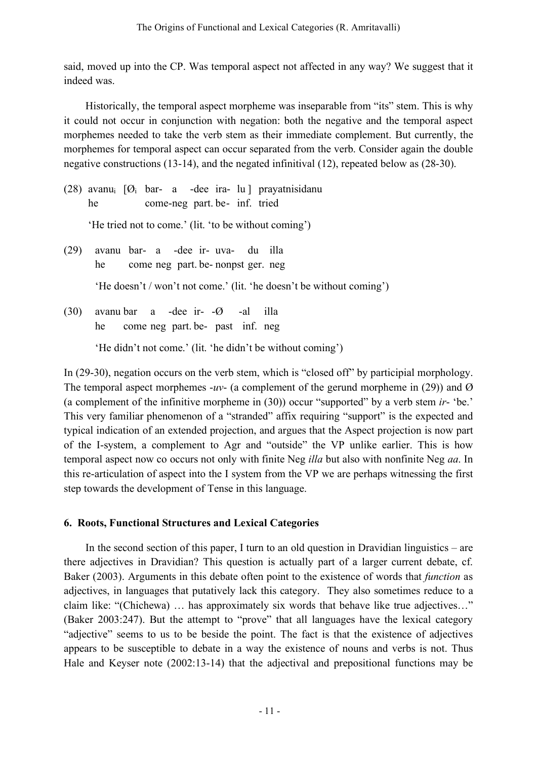said, moved up into the CP. Was temporal aspect not affected in any way? We suggest that it indeed was.

Historically, the temporal aspect morpheme was inseparable from "its" stem. This is why it could not occur in conjunction with negation: both the negative and the temporal aspect morphemes needed to take the verb stem as their immediate complement. But currently, the morphemes for temporal aspect can occur separated from the verb. Consider again the double negative constructions (13-14), and the negated infinitival (12), repeated below as (28-30).

(28) avanu<sub>i</sub>  $[Ø<sub>i</sub>$  bar- a -dee ira- lu ] prayatnisidanu he come-neg part. be- inf. tried

'He tried not to come.' (lit. 'to be without coming')

(29) avanu bar- a -dee ir- uva- du illa he come neg part. be- nonpst ger. neg

'He doesn't / won't not come.' (lit. 'he doesn't be without coming')

(30) avanu bar a -dee ir- -Ø -al illa he come neg part. be- past inf. neg

'He didn't not come.' (lit. 'he didn't be without coming')

In (29-30), negation occurs on the verb stem, which is "closed off" by participial morphology. The temporal aspect morphemes  $-w$ - (a complement of the gerund morpheme in (29)) and  $\varnothing$ (a complement of the infinitive morpheme in (30)) occur "supported" by a verb stem *ir*- 'be.' This very familiar phenomenon of a "stranded" affix requiring "support" is the expected and typical indication of an extended projection, and argues that the Aspect projection is now part of the I-system, a complement to Agr and "outside" the VP unlike earlier. This is how temporal aspect now co occurs not only with finite Neg *illa* but also with nonfinite Neg *aa*. In this re-articulation of aspect into the I system from the VP we are perhaps witnessing the first step towards the development of Tense in this language.

# **6. Roots, Functional Structures and Lexical Categories**

In the second section of this paper, I turn to an old question in Dravidian linguistics – are there adjectives in Dravidian? This question is actually part of a larger current debate, cf. Baker (2003). Arguments in this debate often point to the existence of words that *function* as adjectives, in languages that putatively lack this category. They also sometimes reduce to a claim like: "(Chichewa) … has approximately six words that behave like true adjectives…" (Baker 2003:247). But the attempt to "prove" that all languages have the lexical category "adjective" seems to us to be beside the point. The fact is that the existence of adjectives appears to be susceptible to debate in a way the existence of nouns and verbs is not. Thus Hale and Keyser note (2002:13-14) that the adjectival and prepositional functions may be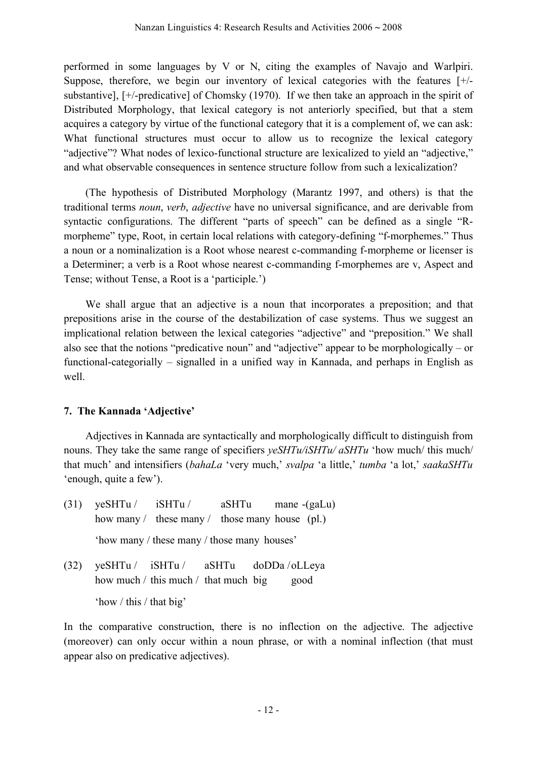performed in some languages by V or N, citing the examples of Navajo and Warlpiri. Suppose, therefore, we begin our inventory of lexical categories with the features [+/ substantive], [+/-predicative] of Chomsky (1970). If we then take an approach in the spirit of Distributed Morphology, that lexical category is not anteriorly specified, but that a stem acquires a category by virtue of the functional category that it is a complement of, we can ask: What functional structures must occur to allow us to recognize the lexical category "adjective"? What nodes of lexico-functional structure are lexicalized to yield an "adjective," and what observable consequences in sentence structure follow from such a lexicalization?

(The hypothesis of Distributed Morphology (Marantz 1997, and others) is that the traditional terms *noun*, *verb*, *adjective* have no universal significance, and are derivable from syntactic configurations. The different "parts of speech" can be defined as a single "Rmorpheme" type, Root, in certain local relations with category-defining "f-morphemes." Thus a noun or a nominalization is a Root whose nearest c-commanding f-morpheme or licenser is a Determiner; a verb is a Root whose nearest c-commanding f-morphemes are v, Aspect and Tense; without Tense, a Root is a 'participle.')

We shall argue that an adjective is a noun that incorporates a preposition; and that prepositions arise in the course of the destabilization of case systems. Thus we suggest an implicational relation between the lexical categories "adjective" and "preposition." We shall also see that the notions "predicative noun" and "adjective" appear to be morphologically – or functional-categorially – signalled in a unified way in Kannada, and perhaps in English as well.

# **7. The Kannada 'Adjective'**

Adjectives in Kannada are syntactically and morphologically difficult to distinguish from nouns. They take the same range of specifiers *yeSHTu/iSHTu/ aSHTu* 'how much/ this much/ that much' and intensifiers (*bahaLa* 'very much,' *svalpa* 'a little,' *tumba* 'a lot,' *saakaSHTu* 'enough, quite a few').

- (31) yeSHTu / iSHTu / aSHTu mane -(gaLu) how many / these many / those many house (pl.) 'how many / these many / those many houses' (32) yeSHTu / iSHTu / aSHTu doDDa /oLLeya
	- how much / this much / that much big good

'how / this / that big'

In the comparative construction, there is no inflection on the adjective. The adjective (moreover) can only occur within a noun phrase, or with a nominal inflection (that must appear also on predicative adjectives).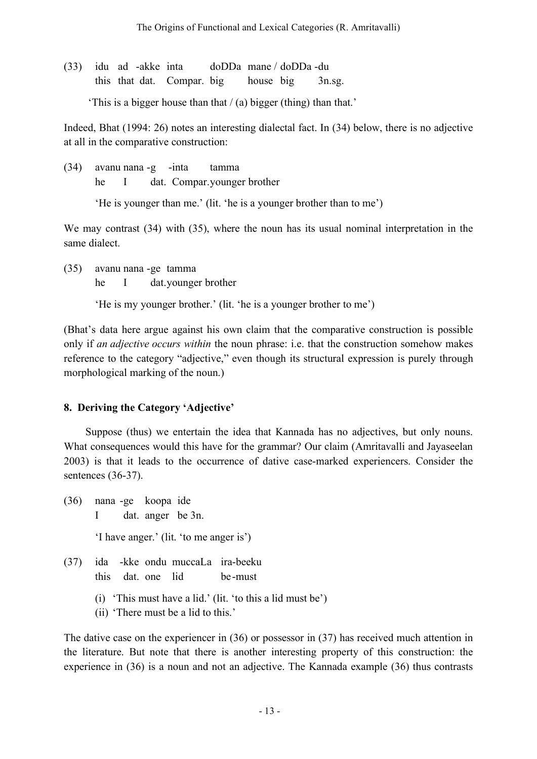(33) idu ad -akke inta doDDa mane / doDDa -du this that dat. Compar. big house big 3n.sg.

'This is a bigger house than that / (a) bigger (thing) than that.'

Indeed, Bhat (1994: 26) notes an interesting dialectal fact. In (34) below, there is no adjective at all in the comparative construction:

(34) avanu nana -g -inta tamma he I dat. Compar.younger brother

'He is younger than me.' (lit. 'he is a younger brother than to me')

We may contrast (34) with (35), where the noun has its usual nominal interpretation in the same dialect.

(35) avanu nana -ge tamma

he I dat.younger brother

'He is my younger brother.' (lit. 'he is a younger brother to me')

(Bhat's data here argue against his own claim that the comparative construction is possible only if *an adjective occurs within* the noun phrase: i.e. that the construction somehow makes reference to the category "adjective," even though its structural expression is purely through morphological marking of the noun.)

# **8. Deriving the Category 'Adjective'**

Suppose (thus) we entertain the idea that Kannada has no adjectives, but only nouns. What consequences would this have for the grammar? Our claim (Amritavalli and Jayaseelan 2003) is that it leads to the occurrence of dative case-marked experiencers. Consider the sentences (36-37).

- (36) nana -ge koopa ide I dat. anger be 3n. 'I have anger.' (lit. 'to me anger is')
- (37) ida -kke ondu muccaLa ira-beeku this dat. one lid be -must
	- (i) 'This must have a lid.' (lit. 'to this a lid must be')
	- (ii) 'There must be a lid to this.'

The dative case on the experiencer in (36) or possessor in (37) has received much attention in the literature. But note that there is another interesting property of this construction: the experience in (36) is a noun and not an adjective. The Kannada example (36) thus contrasts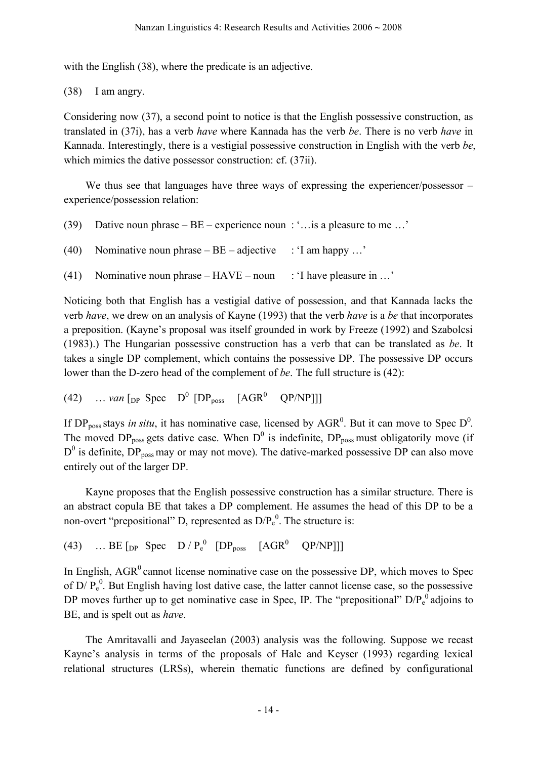with the English (38), where the predicate is an adjective.

(38) I am angry.

Considering now (37), a second point to notice is that the English possessive construction, as translated in (37i), has a verb *have* where Kannada has the verb *be*. There is no verb *have* in Kannada. Interestingly, there is a vestigial possessive construction in English with the verb *be*, which mimics the dative possessor construction: cf.  $(37ii)$ .

We thus see that languages have three ways of expressing the experiencer/possessor – experience/possession relation:

- (39) Dative noun phrase BE experience noun : '…is a pleasure to me …'
- (40) Nominative noun phrase  $BE \text{adjective}$ : 'I am happy ...'
- (41) Nominative noun phrase  $HAVE$  noun : 'I have pleasure in ...'

Noticing both that English has a vestigial dative of possession, and that Kannada lacks the verb *have*, we drew on an analysis of Kayne (1993) that the verb *have* is a *be* that incorporates a preposition. (Kayne's proposal was itself grounded in work by Freeze (1992) and Szabolcsi (1983).) The Hungarian possessive construction has a verb that can be translated as *be*. It takes a single DP complement, which contains the possessive DP. The possessive DP occurs lower than the D-zero head of the complement of *be*. The full structure is (42):

(42) … *van*  $\lceil p \rceil$  Spec  $D^0$   $\lceil \text{DP}_{\text{poss}} \rceil$  [AGR<sup>0</sup> QP/NP]]]

If DP<sub>poss</sub> stays *in situ*, it has nominative case, licensed by  $AGR^0$ . But it can move to Spec D<sup>0</sup>. The moved DP<sub>poss</sub> gets dative case. When  $D^0$  is indefinite, DP<sub>poss</sub> must obligatorily move (if  $D^0$  is definite,  $DP_{poss}$  may or may not move). The dative-marked possessive DP can also move entirely out of the larger DP.

Kayne proposes that the English possessive construction has a similar structure. There is an abstract copula BE that takes a DP complement. He assumes the head of this DP to be a non-overt "prepositional" D, represented as  $D/P_e^0$ . The structure is:

(43) … BE  $[pP \text{ Spec } D / P_e^0 \text{ } [DP_{poss } [AGR^0 \text{ } QP/NP]]]$ 

In English,  $AGR<sup>0</sup>$  cannot license nominative case on the possessive DP, which moves to Spec of  $D/P_e^0$ . But English having lost dative case, the latter cannot license case, so the possessive DP moves further up to get nominative case in Spec, IP. The "prepositional"  $D/P_e^0$  adjoins to BE, and is spelt out as *have*.

The Amritavalli and Jayaseelan (2003) analysis was the following. Suppose we recast Kayne's analysis in terms of the proposals of Hale and Keyser (1993) regarding lexical relational structures (LRSs), wherein thematic functions are defined by configurational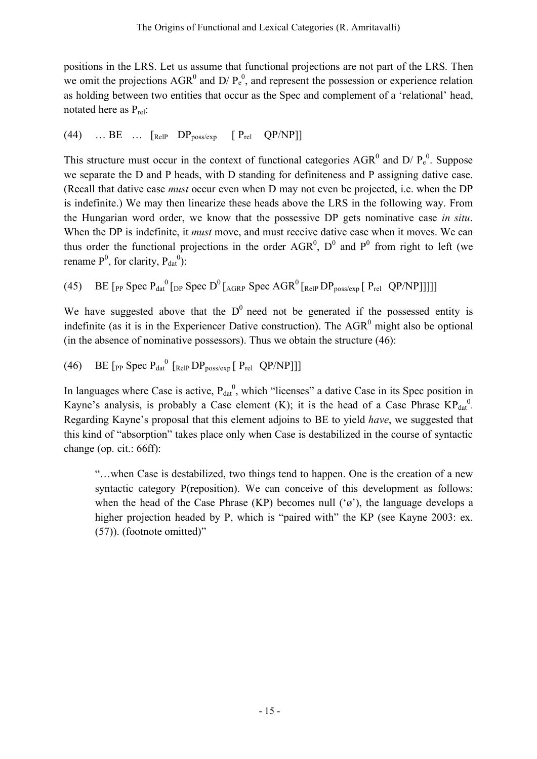positions in the LRS. Let us assume that functional projections are not part of the LRS. Then we omit the projections  $AGR^0$  and  $D/P_e^0$ , and represent the possession or experience relation as holding between two entities that occur as the Spec and complement of a 'relational' head, notated here as  $P_{rel}$ :

$$
(44) \quad ... \text{ BE } ... \text{ [ReIP } DP_{poss/exp} \text{ [ } P_{rel} \text{ QP/NP}]]
$$

This structure must occur in the context of functional categories  $AGR^0$  and  $D/P_e^0$ . Suppose we separate the D and P heads, with D standing for definiteness and P assigning dative case. (Recall that dative case *must* occur even when D may not even be projected, i.e. when the DP is indefinite.) We may then linearize these heads above the LRS in the following way. From the Hungarian word order, we know that the possessive DP gets nominative case *in situ*. When the DP is indefinite, it *must* move, and must receive dative case when it moves. We can thus order the functional projections in the order AGR<sup>0</sup>,  $D^0$  and  $P^0$  from right to left (we rename  $P^0$ , for clarity,  $P_{dat}^0$ ):

(45) BE  $[$  pp Spec  $P_{dat}^0$   $[$   $]$   $[$   $]$   $]$   $[$   $]$   $[$   $]$   $[$   $]$   $[$   $]$   $[$   $]$   $[$   $]$   $[$   $]$   $[$   $]$   $[$   $]$   $[$   $]$   $[$   $]$   $[$   $]$   $[$   $]$   $[$   $]$   $[$   $]$   $[$   $]$   $[$   $]$   $[$   $]$   $[$   $]$   $[$   $]$   $[$   $]$   $[$ 

We have suggested above that the  $D^0$  need not be generated if the possessed entity is indefinite (as it is in the Experiencer Dative construction). The  $AGR<sup>0</sup>$  might also be optional (in the absence of nominative possessors). Thus we obtain the structure (46):

(46) BE  $\left[$  pp Spec  $P_{dat}^{0}$   $\left[$  Relp DP<sub>poss/exp</sub>  $\left[$  P<sub>rel</sub> QP/NP]]]

In languages where Case is active,  $P_{dat}^{0}$ , which "licenses" a dative Case in its Spec position in Kayne's analysis, is probably a Case element (K); it is the head of a Case Phrase  $\text{KP}_{\text{dat}}^0$ . Regarding Kayne's proposal that this element adjoins to BE to yield *have*, we suggested that this kind of "absorption" takes place only when Case is destabilized in the course of syntactic change (op. cit.: 66ff):

"…when Case is destabilized, two things tend to happen. One is the creation of a new syntactic category P(reposition). We can conceive of this development as follows: when the head of the Case Phrase (KP) becomes null  $({\cal G})$ , the language develops a higher projection headed by P, which is "paired with" the KP (see Kayne 2003: ex. (57)). (footnote omitted)"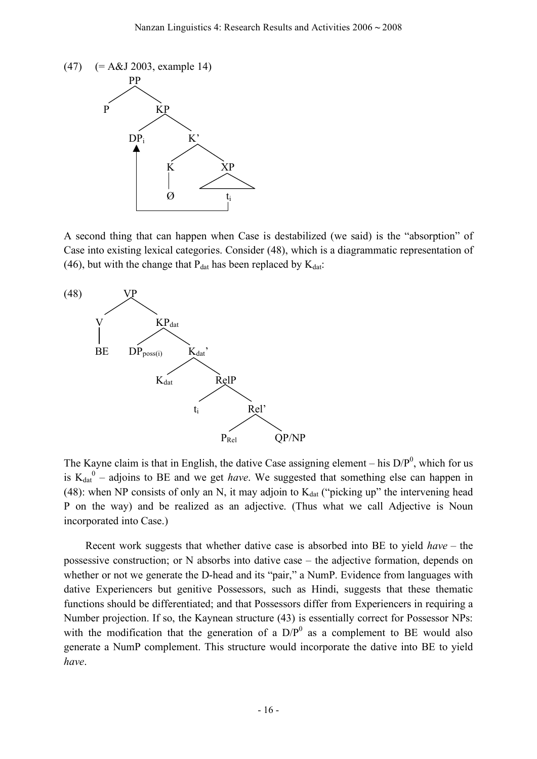

A second thing that can happen when Case is destabilized (we said) is the "absorption" of Case into existing lexical categories. Consider (48), which is a diagrammatic representation of (46), but with the change that  $P_{dat}$  has been replaced by  $K_{dat}$ :



The Kayne claim is that in English, the dative Case assigning element – his  $D/P<sup>0</sup>$ , which for us is  $K_{dat}^0$  – adjoins to BE and we get *have*. We suggested that something else can happen in (48): when NP consists of only an N, it may adjoin to  $K_{dat}$  ("picking up" the intervening head P on the way) and be realized as an adjective. (Thus what we call Adjective is Noun incorporated into Case.)

Recent work suggests that whether dative case is absorbed into BE to yield *have –* the possessive construction; or N absorbs into dative case – the adjective formation, depends on whether or not we generate the D-head and its "pair," a NumP. Evidence from languages with dative Experiencers but genitive Possessors, such as Hindi, suggests that these thematic functions should be differentiated; and that Possessors differ from Experiencers in requiring a Number projection. If so, the Kaynean structure (43) is essentially correct for Possessor NPs: with the modification that the generation of a  $D/P<sup>0</sup>$  as a complement to BE would also generate a NumP complement. This structure would incorporate the dative into BE to yield *have*.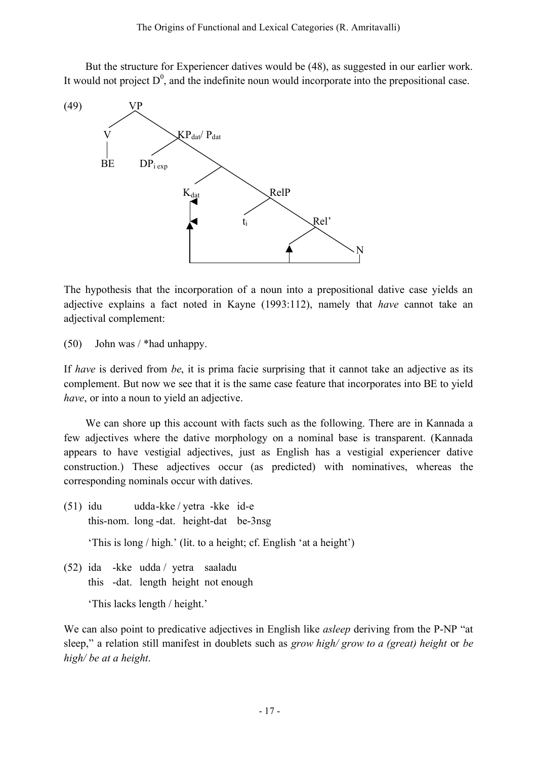But the structure for Experiencer datives would be (48), as suggested in our earlier work. It would not project  $D^0$ , and the indefinite noun would incorporate into the prepositional case.



The hypothesis that the incorporation of a noun into a prepositional dative case yields an adjective explains a fact noted in Kayne (1993:112), namely that *have* cannot take an adjectival complement:

(50) John was / \*had unhappy.

If *have* is derived from *be*, it is prima facie surprising that it cannot take an adjective as its complement. But now we see that it is the same case feature that incorporates into BE to yield *have*, or into a noun to yield an adjective.

We can shore up this account with facts such as the following. There are in Kannada a few adjectives where the dative morphology on a nominal base is transparent. (Kannada appears to have vestigial adjectives, just as English has a vestigial experiencer dative construction.) These adjectives occur (as predicted) with nominatives, whereas the corresponding nominals occur with datives.

(51) idu udda-kke / yetra -kke id-e this-nom. long -dat. height-dat be-3nsg

'This is long / high.' (lit. to a height; cf. English 'at a height')

(52) ida -kke udda / yetra saaladu this -dat. length height not enough

'This lacks length / height.'

We can also point to predicative adjectives in English like *asleep* deriving from the P-NP "at sleep," a relation still manifest in doublets such as *grow high/ grow to a (great) height* or *be high/ be at a height*.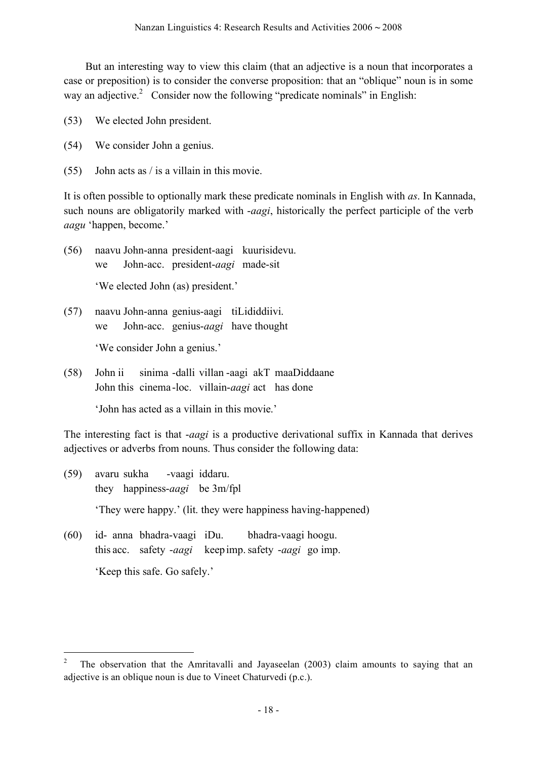But an interesting way to view this claim (that an adjective is a noun that incorporates a case or preposition) is to consider the converse proposition: that an "oblique" noun is in some way an adjective.<sup>2</sup> Consider now the following "predicate nominals" in English:

- (53) We elected John president.
- (54) We consider John a genius.
- (55) John acts as / is a villain in this movie.

It is often possible to optionally mark these predicate nominals in English with *as*. In Kannada, such nouns are obligatorily marked with -*aagi*, historically the perfect participle of the verb *aagu* 'happen, become.'

- (56) naavu John-anna president-aagi kuurisidevu. we John-acc. president-*aagi* made-sit 'We elected John (as) president.'
- (57) naavu John-anna genius-aagi tiLididdiivi. we John-acc. genius-*aagi* have thought 'We consider John a genius.'
- (58) John ii sinima -dalli villan -aagi akT maaDiddaane John this cinema -loc. villain-*aagi* act has done

'John has acted as a villain in this movie.'

The interesting fact is that -*aagi* is a productive derivational suffix in Kannada that derives adjectives or adverbs from nouns. Thus consider the following data:

- (59) avaru sukha -vaagi iddaru. they happiness-*aagi* be 3m/fpl 'They were happy.' (lit. they were happiness having-happened) (60) id- anna bhadra-vaagi iDu. bhadra-vaagi hoogu.
- this acc. safety -*aagi* keepimp.safety -*aagi* go imp. 'Keep this safe. Go safely.'

 <sup>2</sup> The observation that the Amritavalli and Jayaseelan (2003) claim amounts to saying that an adjective is an oblique noun is due to Vineet Chaturvedi (p.c.).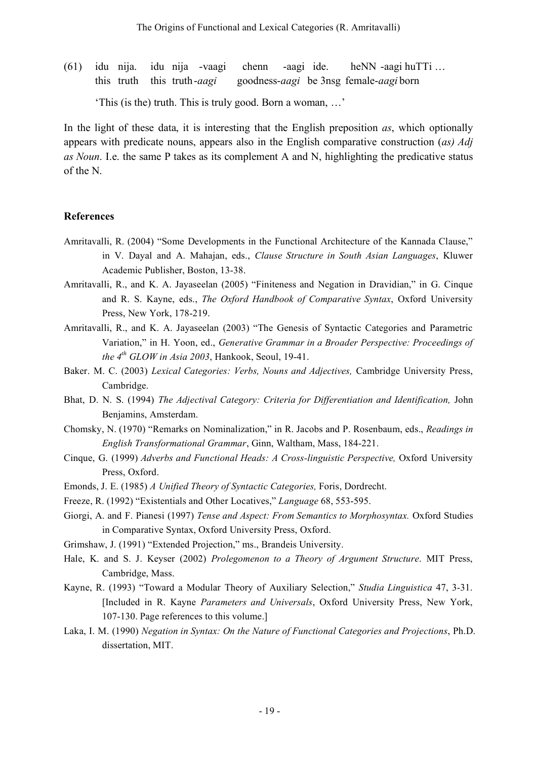(61) idu nija. idu nija -vaagi chenn -aagi ide. heNN -aagi huTTi … this truth this truth-*aagi* goodness-*aagi* be 3nsg female-*aagi* born 'This (is the) truth. This is truly good. Born a woman, …'

In the light of these data, it is interesting that the English preposition *as*, which optionally appears with predicate nouns, appears also in the English comparative construction (*as) Adj as Noun*. I.e. the same P takes as its complement A and N, highlighting the predicative status of the N.

### **References**

- Amritavalli, R. (2004) "Some Developments in the Functional Architecture of the Kannada Clause," in V. Dayal and A. Mahajan, eds., *Clause Structure in South Asian Languages*, Kluwer Academic Publisher, Boston, 13-38.
- Amritavalli, R., and K. A. Jayaseelan (2005) "Finiteness and Negation in Dravidian," in G. Cinque and R. S. Kayne, eds., *The Oxford Handbook of Comparative Syntax*, Oxford University Press, New York, 178-219.
- Amritavalli, R., and K. A. Jayaseelan (2003) "The Genesis of Syntactic Categories and Parametric Variation," in H. Yoon, ed., *Generative Grammar in a Broader Perspective: Proceedings of the 4th GLOW in Asia 2003*, Hankook, Seoul, 19-41.
- Baker. M. C. (2003) *Lexical Categories: Verbs, Nouns and Adjectives,* Cambridge University Press, Cambridge.
- Bhat, D. N. S. (1994) *The Adjectival Category: Criteria for Differentiation and Identification,* John Benjamins, Amsterdam.
- Chomsky, N. (1970) "Remarks on Nominalization," in R. Jacobs and P. Rosenbaum, eds., *Readings in English Transformational Grammar*, Ginn, Waltham, Mass, 184-221.
- Cinque, G. (1999) *Adverbs and Functional Heads: A Cross-linguistic Perspective,* Oxford University Press, Oxford.
- Emonds, J. E. (1985) *A Unified Theory of Syntactic Categories,* Foris, Dordrecht.
- Freeze, R. (1992) "Existentials and Other Locatives," *Language* 68, 553-595.
- Giorgi, A. and F. Pianesi (1997) *Tense and Aspect: From Semantics to Morphosyntax.* Oxford Studies in Comparative Syntax, Oxford University Press, Oxford.
- Grimshaw, J. (1991) "Extended Projection," ms., Brandeis University.
- Hale, K. and S. J. Keyser (2002) *Prolegomenon to a Theory of Argument Structure*. MIT Press, Cambridge, Mass.
- Kayne, R. (1993) "Toward a Modular Theory of Auxiliary Selection," *Studia Linguistica* 47, 3-31. [Included in R. Kayne *Parameters and Universals*, Oxford University Press, New York, 107-130. Page references to this volume.]
- Laka, I. M. (1990) *Negation in Syntax: On the Nature of Functional Categories and Projections*, Ph.D. dissertation, MIT.